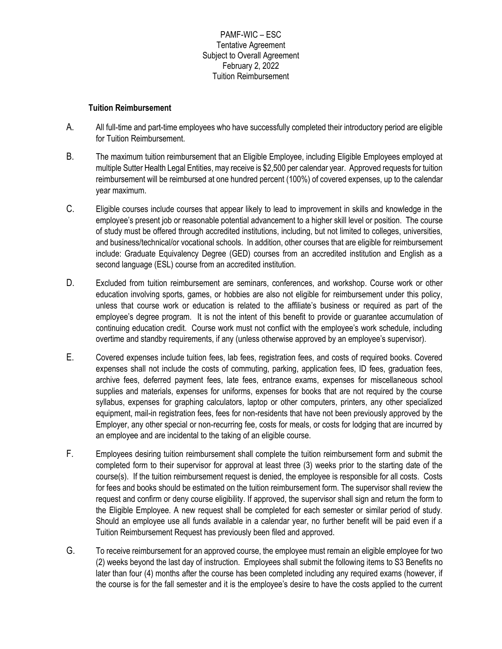## PAMF-WIC – ESC Tentative Agreement Subject to Overall Agreement February 2, 2022 Tuition Reimbursement

## **Tuition Reimbursement**

- A. All full-time and part-time employees who have successfully completed their introductory period are eligible for Tuition Reimbursement.
- B. The maximum tuition reimbursement that an Eligible Employee, including Eligible Employees employed at multiple Sutter Health Legal Entities, may receive is \$2,500 per calendar year. Approved requests for tuition reimbursement will be reimbursed at one hundred percent (100%) of covered expenses, up to the calendar year maximum.
- C. Eligible courses include courses that appear likely to lead to improvement in skills and knowledge in the employee's present job or reasonable potential advancement to a higher skill level or position. The course of study must be offered through accredited institutions, including, but not limited to colleges, universities, and business/technical/or vocational schools. In addition, other courses that are eligible for reimbursement include: Graduate Equivalency Degree (GED) courses from an accredited institution and English as a second language (ESL) course from an accredited institution.
- D. Excluded from tuition reimbursement are seminars, conferences, and workshop. Course work or other education involving sports, games, or hobbies are also not eligible for reimbursement under this policy, unless that course work or education is related to the affiliate's business or required as part of the employee's degree program. It is not the intent of this benefit to provide or guarantee accumulation of continuing education credit. Course work must not conflict with the employee's work schedule, including overtime and standby requirements, if any (unless otherwise approved by an employee's supervisor).
- E. Covered expenses include tuition fees, lab fees, registration fees, and costs of required books. Covered expenses shall not include the costs of commuting, parking, application fees, ID fees, graduation fees, archive fees, deferred payment fees, late fees, entrance exams, expenses for miscellaneous school supplies and materials, expenses for uniforms, expenses for books that are not required by the course syllabus, expenses for graphing calculators, laptop or other computers, printers, any other specialized equipment, mail-in registration fees, fees for non-residents that have not been previously approved by the Employer, any other special or non-recurring fee, costs for meals, or costs for lodging that are incurred by an employee and are incidental to the taking of an eligible course.
- F. Employees desiring tuition reimbursement shall complete the tuition reimbursement form and submit the completed form to their supervisor for approval at least three (3) weeks prior to the starting date of the course(s). If the tuition reimbursement request is denied, the employee is responsible for all costs. Costs for fees and books should be estimated on the tuition reimbursement form. The supervisor shall review the request and confirm or deny course eligibility. If approved, the supervisor shall sign and return the form to the Eligible Employee. A new request shall be completed for each semester or similar period of study. Should an employee use all funds available in a calendar year, no further benefit will be paid even if a Tuition Reimbursement Request has previously been filed and approved.
- G. To receive reimbursement for an approved course, the employee must remain an eligible employee for two (2) weeks beyond the last day of instruction. Employees shall submit the following items to S3 Benefits no later than four (4) months after the course has been completed including any required exams (however, if the course is for the fall semester and it is the employee's desire to have the costs applied to the current